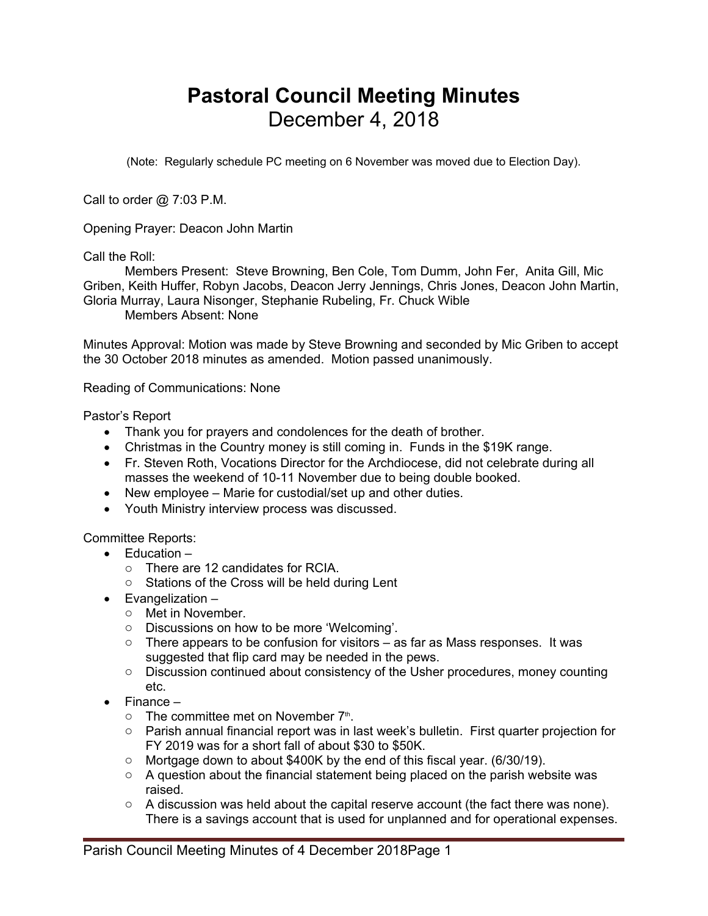## **Pastoral Council Meeting Minutes** December 4, 2018

(Note: Regularly schedule PC meeting on 6 November was moved due to Election Day).

Call to order @ 7:03 P.M.

Opening Prayer: Deacon John Martin

Call the Roll:

Members Present: Steve Browning, Ben Cole, Tom Dumm, John Fer, Anita Gill, Mic Griben, Keith Huffer, Robyn Jacobs, Deacon Jerry Jennings, Chris Jones, Deacon John Martin, Gloria Murray, Laura Nisonger, Stephanie Rubeling, Fr. Chuck Wible

Members Absent: None

Minutes Approval: Motion was made by Steve Browning and seconded by Mic Griben to accept the 30 October 2018 minutes as amended. Motion passed unanimously.

Reading of Communications: None

Pastor's Report

- Thank you for prayers and condolences for the death of brother.
- Christmas in the Country money is still coming in. Funds in the \$19K range.
- Fr. Steven Roth, Vocations Director for the Archdiocese, did not celebrate during all masses the weekend of 10-11 November due to being double booked.
- New employee Marie for custodial/set up and other duties.
- Youth Ministry interview process was discussed.

Committee Reports:

- $\bullet$  Fducation  $$ 
	- o There are 12 candidates for RCIA.
	- o Stations of the Cross will be held during Lent
- Evangelization
	- o Met in November.
	- o Discussions on how to be more 'Welcoming'.
	- $\circ$  There appears to be confusion for visitors as far as Mass responses. It was suggested that flip card may be needed in the pews.
	- o Discussion continued about consistency of the Usher procedures, money counting etc.
- $\bullet$  Finance
	- $\circ$  The committee met on November  $7<sup>th</sup>$ . .
	- o Parish annual financial report was in last week's bulletin. First quarter projection for FY 2019 was for a short fall of about \$30 to \$50K.
	- o Mortgage down to about \$400K by the end of this fiscal year. (6/30/19).
	- o A question about the financial statement being placed on the parish website was raised.
	- $\circ$  A discussion was held about the capital reserve account (the fact there was none). There is a savings account that is used for unplanned and for operational expenses.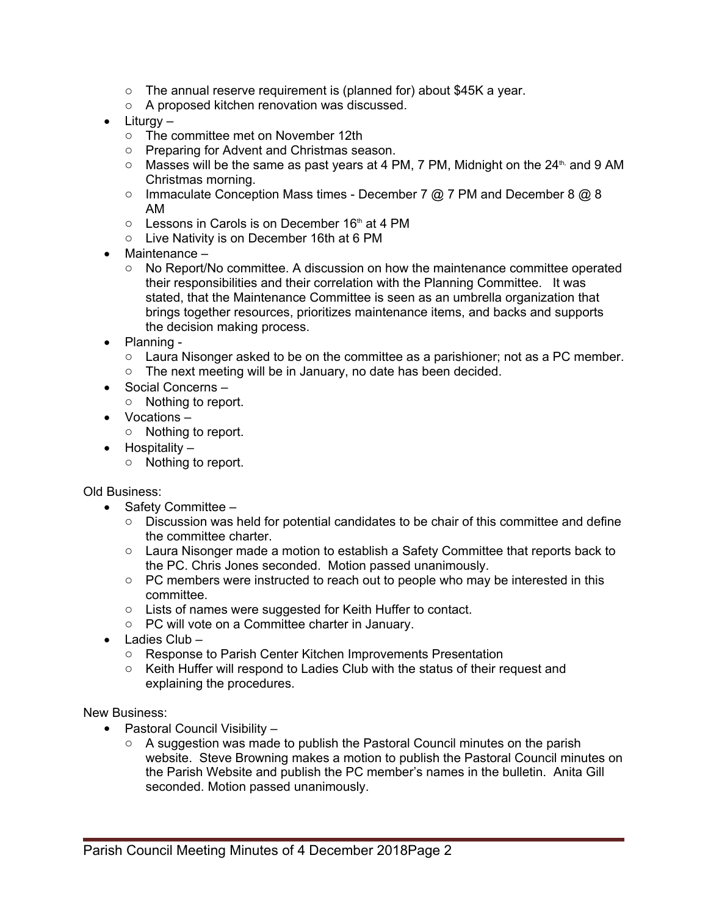- $\circ$  The annual reserve requirement is (planned for) about \$45K a year.
- o A proposed kitchen renovation was discussed.
- $\bullet$  Liturgy
	- o The committee met on November 12th
	- o Preparing for Advent and Christmas season.
	- $\circ$  Masses will be the same as past years at 4 PM, 7 PM, Midnight on the 24<sup>th,</sup> and 9 AM Christmas morning.
	- $\circ$  Immaculate Conception Mass times December 7  $\oslash$  7 PM and December 8  $\oslash$  8 AM
	- $\circ$  Lessons in Carols is on December 16<sup>th</sup> at 4 PM
	- o Live Nativity is on December 16th at 6 PM
- Maintenance
	- $\circ$  No Report/No committee. A discussion on how the maintenance committee operated their responsibilities and their correlation with the Planning Committee. It was stated, that the Maintenance Committee is seen as an umbrella organization that brings together resources, prioritizes maintenance items, and backs and supports the decision making process.
- Planning -
	- $\circ$  Laura Nisonger asked to be on the committee as a parishioner; not as a PC member.
	- o The next meeting will be in January, no date has been decided.
- Social Concerns
	- o Nothing to report.
- Vocations
	- o Nothing to report.
- $\bullet$  Hospitality
	- o Nothing to report.

Old Business:

- Safety Committee  $-$ 
	- $\circ$  Discussion was held for potential candidates to be chair of this committee and define the committee charter.
	- $\circ$  Laura Nisonger made a motion to establish a Safety Committee that reports back to the PC. Chris Jones seconded. Motion passed unanimously.
	- $\circ$  PC members were instructed to reach out to people who may be interested in this committee.
	- o Lists of names were suggested for Keith Huffer to contact.
	- o PC will vote on a Committee charter in January.
- Ladies Club
	- o Response to Parish Center Kitchen Improvements Presentation
	- o Keith Huffer will respond to Ladies Club with the status of their request and explaining the procedures.

New Business:

- Pastoral Council Visibility
	- o A suggestion was made to publish the Pastoral Council minutes on the parish website. Steve Browning makes a motion to publish the Pastoral Council minutes on the Parish Website and publish the PC member's names in the bulletin. Anita Gill seconded. Motion passed unanimously.